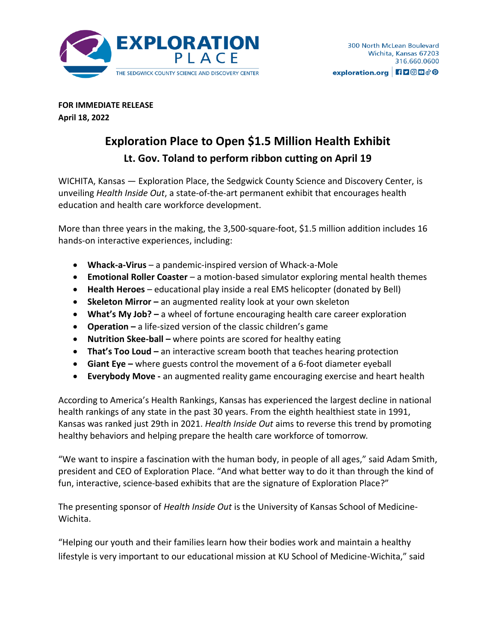

**FOR IMMEDIATE RELEASE April 18, 2022**

## **Exploration Place to Open \$1.5 Million Health Exhibit Lt. Gov. Toland to perform ribbon cutting on April 19**

WICHITA, Kansas — Exploration Place, the Sedgwick County Science and Discovery Center, is unveiling *Health Inside Out*, a state-of-the-art permanent exhibit that encourages health education and health care workforce development.

More than three years in the making, the 3,500-square-foot, \$1.5 million addition includes 16 hands-on interactive experiences, including:

- **Whack-a-Virus** a pandemic-inspired version of Whack-a-Mole
- **Emotional Roller Coaster**  a motion-based simulator exploring mental health themes
- **Health Heroes** educational play inside a real EMS helicopter (donated by Bell)
- **•** Skeleton Mirror an augmented reality look at your own skeleton
- **What's My Job? –** a wheel of fortune encouraging health care career exploration
- **Operation –** a life-sized version of the classic children's game
- **Nutrition Skee-ball –** where points are scored for healthy eating
- **That's Too Loud –** an interactive scream booth that teaches hearing protection
- **Giant Eye –** where guests control the movement of a 6-foot diameter eyeball
- **Everybody Move -** an augmented reality game encouraging exercise and heart health

According to America's Health Rankings, Kansas has experienced the largest decline in national health rankings of any state in the past 30 years. From the eighth healthiest state in 1991, Kansas was ranked just 29th in 2021. *Health Inside Out* aims to reverse this trend by promoting healthy behaviors and helping prepare the health care workforce of tomorrow.

"We want to inspire a fascination with the human body, in people of all ages," said Adam Smith, president and CEO of Exploration Place. "And what better way to do it than through the kind of fun, interactive, science-based exhibits that are the signature of Exploration Place?"

The presenting sponsor of *Health Inside Out* is the University of Kansas School of Medicine-Wichita.

"Helping our youth and their families learn how their bodies work and maintain a healthy lifestyle is very important to our educational mission at KU School of Medicine-Wichita," said